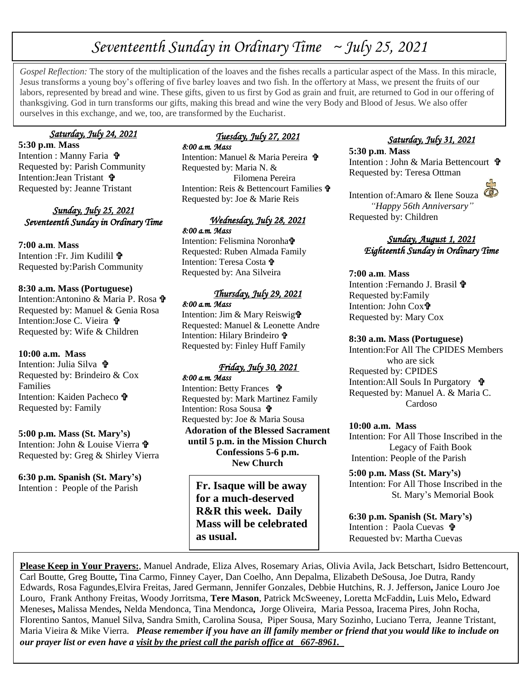# *Seventeenth Sunday in Ordinary Time ~ July 25, 2021*

*Gospel Reflection:* The story of the multiplication of the loaves and the fishes recalls a particular aspect of the Mass. In this miracle, Jesus transforms a young boy's offering of five barley loaves and two fish. In the offertory at Mass, we present the fruits of our labors, represented by bread and wine. These gifts, given to us first by God as grain and fruit, are returned to God in our offering of thanksgiving. God in turn transforms our gifts, making this bread and wine the very Body and Blood of Jesus. We also offer ourselves in this exchange, and we, too, are transformed by the Eucharist.

# *Saturday, July 24, 2021*

**5:30 p.m**. **Mass** Intention : Manny Faria Requested by: Parish Community Intention:Jean Tristant Requested by: Jeanne Tristant

#### *Sunday, July 25, 2021 Seventeenth Sunday in Ordinary Time*

**7:00 a.m**. **Mass** Intention :Fr. Jim Kudilil Requested by:Parish Community

## **8:30 a.m. Mass (Portuguese)**

Intention:Antonino & Maria P. Rosa Requested by: Manuel & Genia Rosa Intention:Jose C. Vieira Requested by: Wife & Children

## **10:00 a.m. Mass**

Intention: Julia Silva Requested by: Brindeiro & Cox Families Intention: Kaiden Pacheco Requested by: Family

## **5:00 p.m. Mass (St. Mary's)**

Intention: John & Louise Vierra Requested by: Greg & Shirley Vierra

**6:30 p.m. Spanish (St. Mary's)** Intention : People of the Parish

#### *Tuesday, July 27, 2021 8:00 a.m. Mass*

Intention: Manuel & Maria Pereira Requested by: Maria N. & Filomena Pereira Intention: Reis & Bettencourt Families  $\mathbf{\hat{\mathbf{F}}}$ Requested by: Joe & Marie Reis

# *Wednesday, July 28, 2021 8:00 a.m. Mass*

Intention: Felismina Noronha Requested: Ruben Almada Family Intention: Teresa Costa Requested by: Ana Silveira

#### *Thursday, July 29, 2021 8:00 a.m. Mass*

Intention: Jim & Mary Reiswig Requested: Manuel & Leonette Andre Intention: Hilary Brindeiro + Requested by: Finley Huff Family

# *Friday, July 30, 2021*

*8:00 a.m. Mass*  Intention: Betty Frances Requested by: Mark Martinez Family Intention: Rosa Sousa Requested by: Joe & Maria Sousa **Adoration of the Blessed Sacrament until 5 p.m. in the Mission Church Confessions 5-6 p.m. New Church**

**Fr. Isaque will be away for a much-deserved R&R this week. Daily Mass will be celebrated as usual.**  .

# *Saturday, July 31, 2021*

**5:30 p.m**. **Mass** Intention : John & Maria Bettencourt Requested by: Teresa Ottman

Intention of:Amaro & Ilene Souza  *"Happy 56th Anniversary"* Requested by: Children

# *Sunday, August 1, 2021 Eighteenth Sunday in Ordinary Time*

## **7:00 a.m**. **Mass**

Intention : Fernando J. Brasil  $\mathbf{\hat{\mathbf{F}}}$ Requested by:Family Intention: John Cox Requested by: Mary Cox

# **8:30 a.m. Mass (Portuguese)**

Intention:For All The CPIDES Members who are sick Requested by: CPIDES Intention:All Souls In Purgatory Requested by: Manuel A. & Maria C. Cardoso

## **10:00 a.m. Mass**

Intention: For All Those Inscribed in the Legacy of Faith Book Intention: People of the Parish

**5:00 p.m. Mass (St. Mary's)** Intention: For All Those Inscribed in the St. Mary's Memorial Book

**6:30 p.m. Spanish (St. Mary's)** Intention : Paola Cuevas Requested by: Martha Cuevas

**Please Keep in Your Prayers:**, Manuel Andrade, Eliza Alves, Rosemary Arias, Olivia Avila, Jack Betschart, Isidro Bettencourt, Carl Boutte, Greg Boutte**,** Tina Carmo, Finney Cayer, Dan Coelho, Ann Depalma, Elizabeth DeSousa, Joe Dutra, Randy Edwards, Rosa Fagundes,Elvira Freitas, Jared Germann, Jennifer Gonzales, Debbie Hutchins, R. J. Jefferson**,** Janice Louro Joe Louro, Frank Anthony Freitas, Woody Jorritsma, **Tere Mason**, Patrick McSweeney, Loretta McFaddin**,** Luis Melo**,** Edward Meneses**,** Malissa Mendes**,** Nelda Mendonca, Tina Mendonca**,** Jorge Oliveira, Maria Pessoa, Iracema Pires, John Rocha, Florentino Santos, Manuel Silva, Sandra Smith, Carolina Sousa, Piper Sousa, Mary Sozinho, Luciano Terra, Jeanne Tristant, Maria Vieira & Mike Vierra. *Please remember if you have an ill family member or friend that you would like to include on our prayer list or even have a visit by the priest call the parish office at 667-8961.*